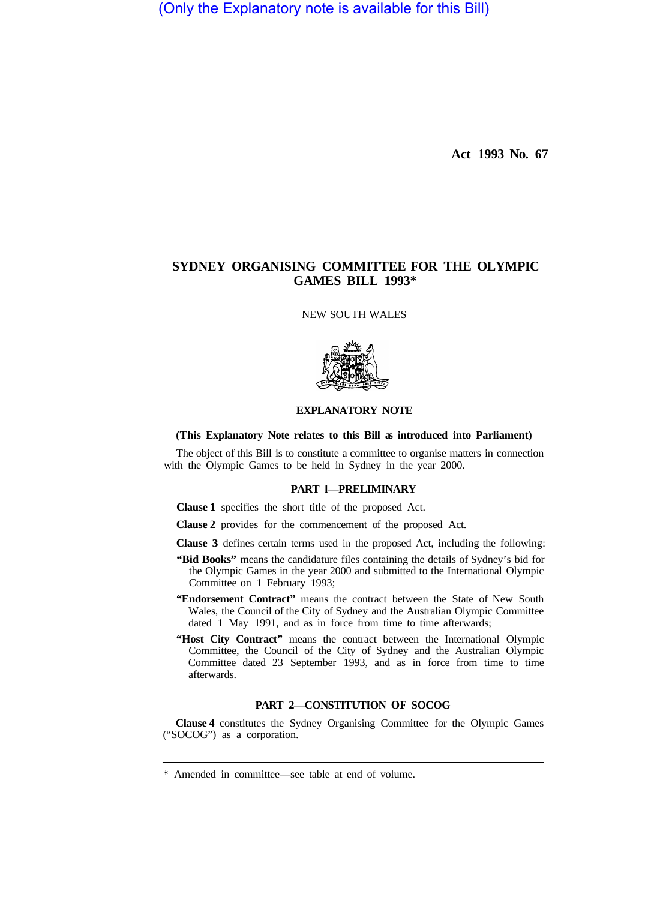(Only the Explanatory note is available for this Bill)

**Act 1993 No. 67** 

# **SYDNEY ORGANISING COMMITTEE FOR THE OLYMPIC GAMES BILL 1993\***

NEW SOUTH WALES



# **EXPLANATORY NOTE**

## **(This Explanatory Note relates to this Bill as introduced into Parliament)**

The object of this Bill is to constitute a committee to organise matters in connection with the Olympic Games to be held in Sydney in the year 2000.

# **PART l—PRELIMINARY**

**Clause 1** specifies the short title of the proposed Act.

**Clause 2** provides for the commencement of the proposed Act.

**Clause 3** defines certain terms used in the proposed Act, including the following:

- **"Bid Books"** means the candidature files containing the details of Sydney's bid for the Olympic Games in the year 2000 and submitted to the International Olympic Committee on 1 February 1993;
- **"Endorsement Contract"** means the contract between the State of New South Wales, the Council of the City of Sydney and the Australian Olympic Committee dated 1 May 1991, and as in force from time to time afterwards;
- "Host City Contract" means the contract between the International Olympic Committee, the Council of the City of Sydney and the Australian Olympic Committee dated 23 September 1993, and as in force from time to time afterwards.

## **PART 2—CONSTITUTION OF SOCOG**

**Clause 4** constitutes the Sydney Organising Committee for the Olympic Games ("SOCOG") as a corporation.

<sup>\*</sup> Amended in committee—see table at end of volume.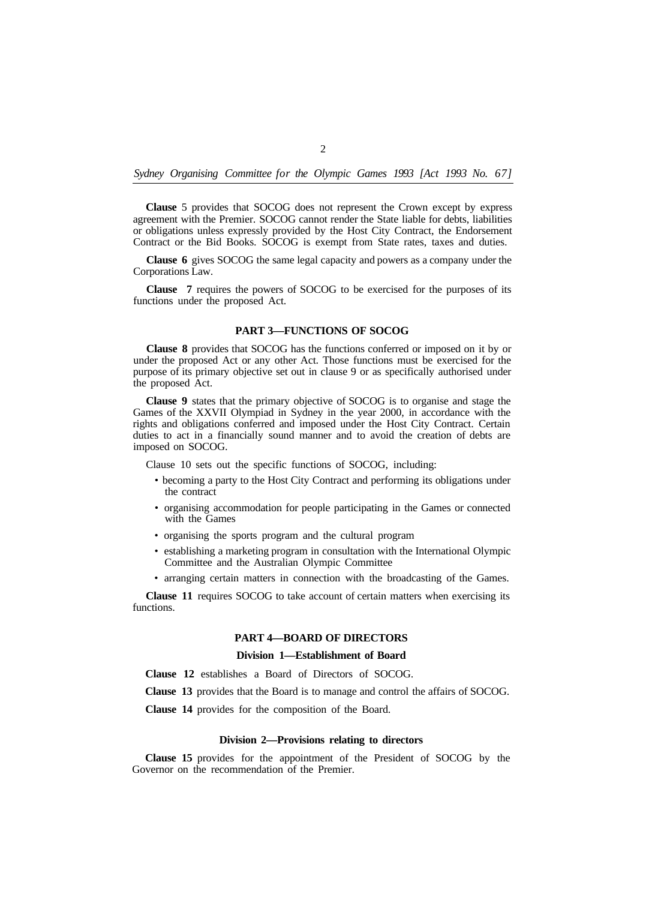**Clause** 5 provides that SOCOG does not represent the Crown except by express agreement with the Premier. SOCOG cannot render the State liable for debts, liabilities or obligations unless expressly provided by the Host City Contract, the Endorsement Contract or the Bid Books. SOCOG is exempt from State rates, taxes and duties.

**Clause 6** gives SOCOG the same legal capacity and powers as a company under the Corporations Law.

**Clause 7** requires the powers of SOCOG to be exercised for the purposes of its functions under the proposed Act.

## **PART 3—FUNCTIONS OF SOCOG**

**Clause 8** provides that SOCOG has the functions conferred or imposed on it by or under the proposed Act or any other Act. Those functions must be exercised for the purpose of its primary objective set out in clause 9 or as specifically authorised under the proposed Act.

**Clause 9** states that the primary objective of SOCOG is to organise and stage the Games of the XXVII Olympiad in Sydney in the year 2000, in accordance with the rights and obligations conferred and imposed under the Host City Contract. Certain duties to act in a financially sound manner and to avoid the creation of debts are imposed on SOCOG.

Clause 10 sets out the specific functions of SOCOG, including:

- becoming a party to the Host City Contract and performing its obligations under the contract
- organising accommodation for people participating in the Games or connected with the Games
- organising the sports program and the cultural program
- establishing a marketing program in consultation with the International Olympic Committee and the Australian Olympic Committee
- arranging certain matters in connection with the broadcasting of the Games.

**Clause 11** requires SOCOG to take account of certain matters when exercising its functions.

#### **PART 4—BOARD OF DIRECTORS**

## **Division 1—Establishment of Board**

**Clause 12** establishes a Board of Directors of SOCOG.

**Clause 13** provides that the Board is to manage and control the affairs of SOCOG.

**Clause 14** provides for the composition of the Board.

## **Division 2—Provisions relating to directors**

**Clause 15** provides for the appointment of the President of SOCOG by the Governor on the recommendation of the Premier.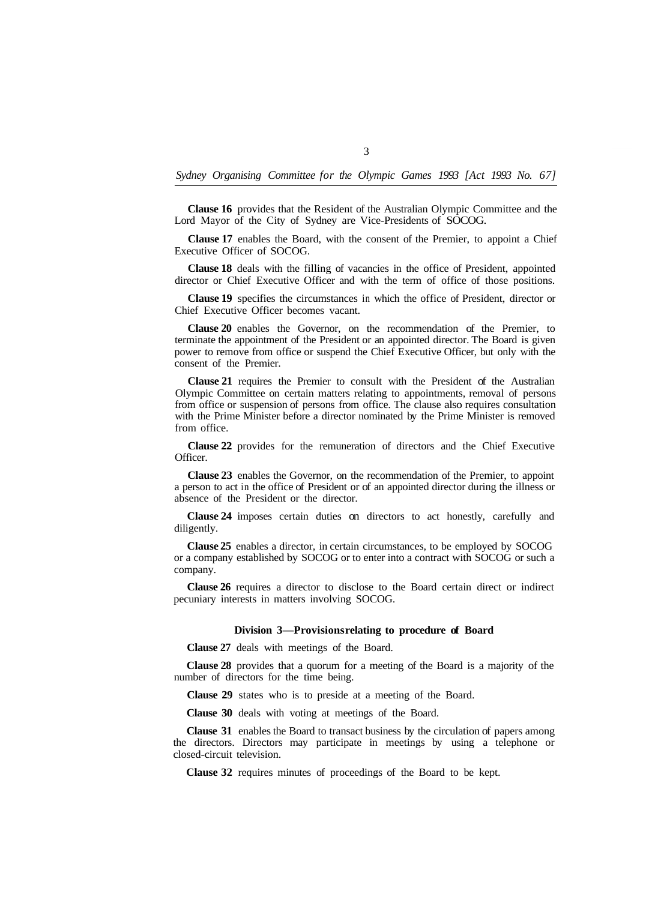**Clause 16** provides that the Resident of the Australian Olympic Committee and the Lord Mayor of the City of Sydney are Vice-Presidents of SOCOG.

**Clause 17** enables the Board, with the consent of the Premier, to appoint a Chief Executive Officer of SOCOG.

**Clause 18** deals with the filling of vacancies in the office of President, appointed director or Chief Executive Officer and with the term of office of those positions.

**Clause 19** specifies the circumstances in which the office of President, director or Chief Executive Officer becomes vacant.

**Clause 20** enables the Governor, on the recommendation of the Premier, to terminate the appointment of the President or an appointed director. The Board is given power to remove from office or suspend the Chief Executive Officer, but only with the consent of the Premier.

**Clause 21** requires the Premier to consult with the President of the Australian Olympic Committee on certain matters relating to appointments, removal of persons from office or suspension of persons from office. The clause also requires consultation with the Prime Minister before a director nominated by the Prime Minister is removed from office.

**Clause 22** provides for the remuneration of directors and the Chief Executive Officer.

**Clause 23** enables the Governor, on the recommendation of the Premier, to appoint a person to act in the office of President or of an appointed director during the illness or absence of the President or the director.

**Clause 24** imposes certain duties on directors to act honestly, carefully and diligently.

**Clause 25** enables a director, in certain circumstances, to be employed by SOCOG or a company established by SOCOG or to enter into a contract with SOCOG or such a company.

pecuniary interests in matters involving SOCOG. **Clause 26** requires a director to disclose to the Board certain direct or indirect

## **Division 3—Provisions relating to procedure of Board**

**Clause 27** deals with meetings of the Board.

**Clause 28** provides that a quorum for a meeting of the Board is a majority of the number of directors for the time being.

**Clause 29**  states who is to preside at a meeting of the Board.

**Clause 30**  deals with voting at meetings of the Board.

**Clause 31**  enables the Board to transact business by the circulation of papers among the directors. Directors may participate in meetings by using a telephone or closed-circuit television.

**Clause 32**  requires minutes of proceedings of the Board to be kept.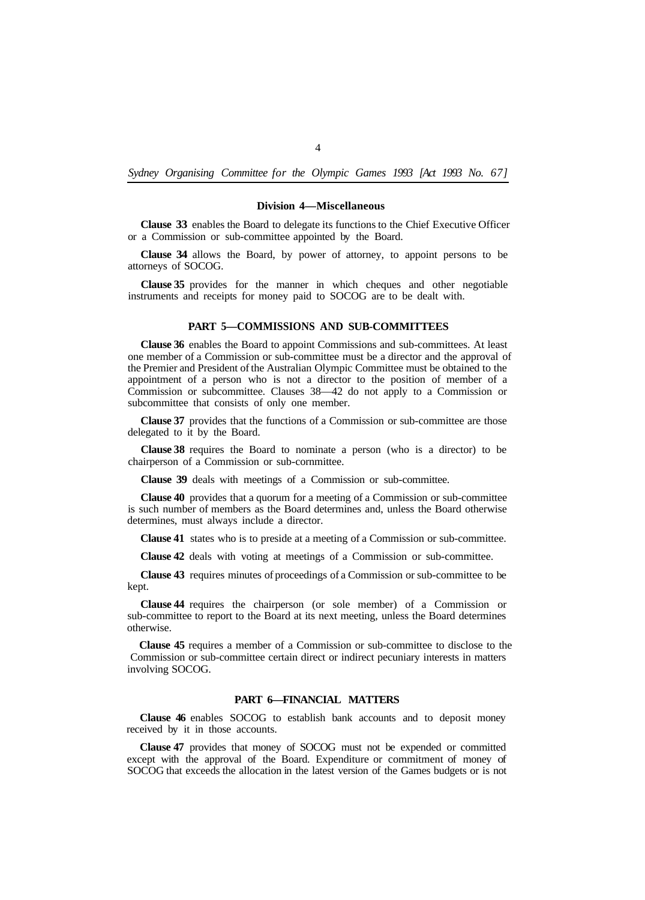#### **Division 4—Miscellaneous**

**Clause 33** enables the Board to delegate its functions to the Chief Executive Officer or a Commission or sub-committee appointed by the Board.

**Clause 34** allows the Board, by power of attorney, to appoint persons to be attorneys of SOCOG.

**Clause 35** provides for the manner in which cheques and other negotiable instruments and receipts for money paid to SOCOG are to be dealt with.

#### **PART 5—COMMISSIONS AND SUB-COMMITTEES**

**Clause 36** enables the Board to appoint Commissions and sub-committees. At least one member of a Commission or sub-committee must be a director and the approval of the Premier and President of the Australian Olympic Committee must be obtained to the appointment of a person who is not a director to the position of member of a Commission or subcommittee. Clauses 38—42 do not apply to a Commission or subcommittee that consists of only one member.

**Clause 37** provides that the functions of a Commission or sub-committee are those delegated to it by the Board.

**Clause 38** requires the Board to nominate a person (who is a director) to be chairperson of a Commission or sub-cornmittee.

**Clause 39** deals with meetings of a Commission or sub-committee.

**Clause 40** provides that a quorum for a meeting of a Commission or sub-committee is such number of members as the Board determines and, unless the Board otherwise determines, must always include a director.

**Clause 41** states who is to preside at a meeting of a Commission or sub-committee.

**Clause 42** deals with voting at meetings of a Commission or sub-committee.

**Clause 43** requires minutes of proceedings of a Commission or sub-committee to be kept.

**Clause 44** requires the chairperson (or sole member) of a Commission or sub-committee to report to the Board at its next meeting, unless the Board determines otherwise.

**Clause 45** requires a member of a Commission or sub-committee to disclose to the Commission or sub-committee certain direct or indirect pecuniary interests in matters involving SOCOG.

## **PART 6—FINANCIAL MATTERS**

**Clause 46** enables SOCOG to establish bank accounts and to deposit money received by it in those accounts.

**Clause 47** provides that money of SOCOG must not be expended or committed except with the approval of the Board. Expenditure or commitment of money of SOCOG that exceeds the allocation in the latest version of the Games budgets or is not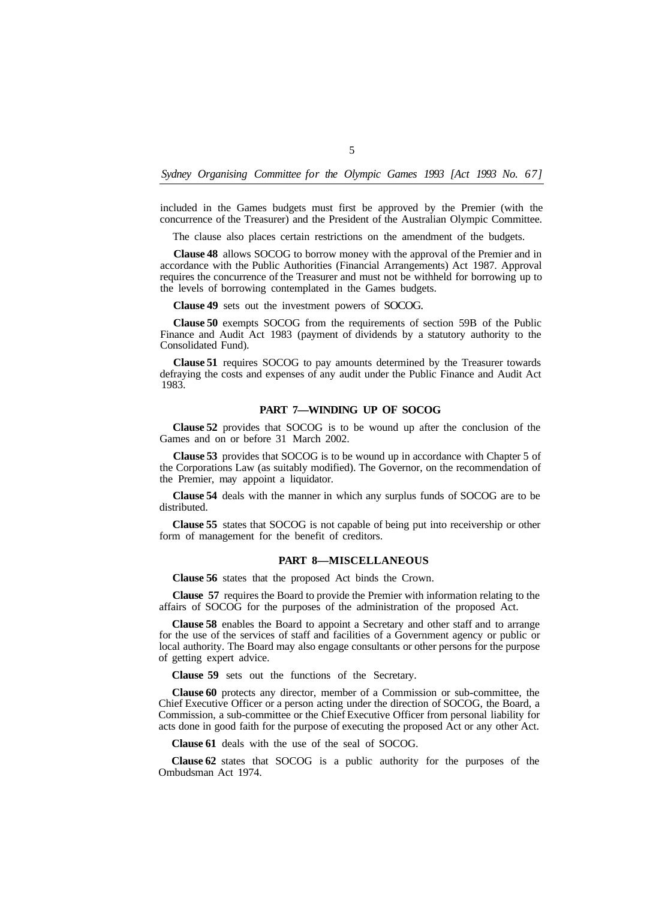included in the Games budgets must first be approved by the Premier (with the concurrence of the Treasurer) and the President of the Australian Olympic Committee.

The clause also places certain restrictions on the amendment of the budgets.

**Clause 48** allows SOCOG to borrow money with the approval of the Premier and in accordance with the Public Authorities (Financial Arrangements) Act 1987. Approval requires the concurrence of the Treasurer and must not be withheld for borrowing up to the levels of borrowing contemplated in the Games budgets.

**Clause 49** sets out the investment powers of SOCOG.

**Clause 50** exempts SOCOG from the requirements of section 59B of the Public Finance and Audit Act 1983 (payment of dividends by a statutory authority to the Consolidated Fund).

**Clause 51** requires SOCOG to pay amounts determined by the Treasurer towards defraying the costs and expenses of any audit under the Public Finance and Audit Act 1983.

#### **PART 7—WINDING UP OF SOCOG**

**Clause 52** provides that SOCOG is to be wound up after the conclusion of the Games and on or before 31 March 2002.

**Clause 53** provides that SOCOG is to be wound up in accordance with Chapter 5 of the Corporations Law (as suitably modified). The Governor, on the recommendation of the Premier, may appoint a liquidator.

**Clause 54** deals with the manner in which any surplus funds of SOCOG are to be distributed.

**Clause 55** states that SOCOG is not capable of being put into receivership or other form of management for the benefit of creditors.

#### **PART 8—MISCELLANEOUS**

**Clause 56** states that the proposed Act binds the Crown.

**Clause 57** requires the Board to provide the Premier with information relating to the affairs of SOCOG for the purposes of the administration of the proposed Act.

**Clause 58** enables the Board to appoint a Secretary and other staff and to arrange for the use of the services of staff and facilities of a Government agency or public or local authority. The Board may also engage consultants or other persons for the purpose of getting expert advice.

**Clause 59** sets out the functions of the Secretary.

**Clause 60** protects any director, member of a Commission or sub-committee, the Chief Executive Officer or a person acting under the direction of SOCOG, the Board, a Commission, a sub-committee or the Chief Executive Officer from personal liability for acts done in good faith for the purpose of executing the proposed Act or any other Act.

**Clause 61** deals with the use of the seal of SOCOG.

**Clause 62** states that SOCOG is a public authority for the purposes of the Ombudsman Act 1974.